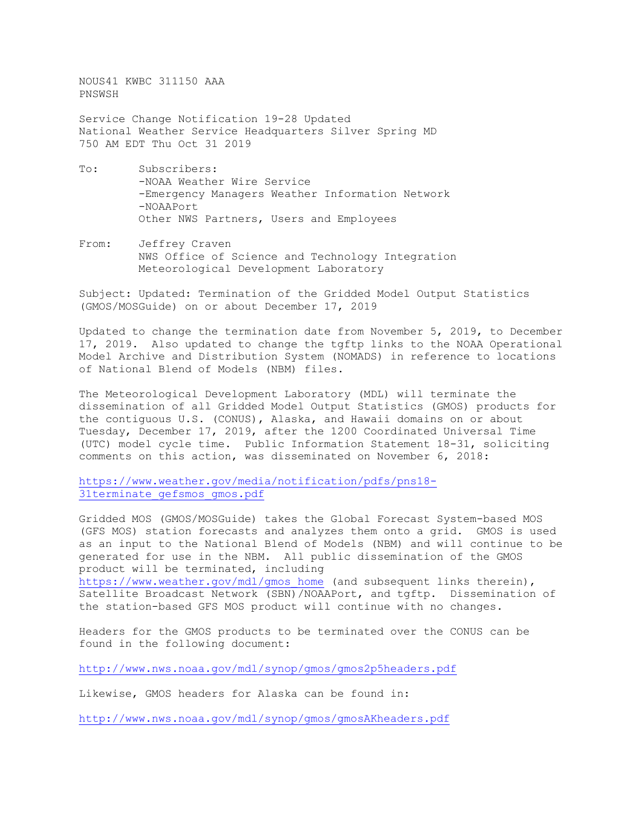NOUS41 KWBC 311150 AAA PNSWSH

Service Change Notification 19-28 Updated National Weather Service Headquarters Silver Spring MD 750 AM EDT Thu Oct 31 2019

- To: Subscribers: -NOAA Weather Wire Service -Emergency Managers Weather Information Network -NOAAPort Other NWS Partners, Users and Employees
- From: Jeffrey Craven NWS Office of Science and Technology Integration Meteorological Development Laboratory

Subject: Updated: Termination of the Gridded Model Output Statistics (GMOS/MOSGuide) on or about December 17, 2019

Updated to change the termination date from November 5, 2019, to December 17, 2019. Also updated to change the tgftp links to the NOAA Operational Model Archive and Distribution System (NOMADS) in reference to locations of National Blend of Models (NBM) files.

The Meteorological Development Laboratory (MDL) will terminate the dissemination of all Gridded Model Output Statistics (GMOS) products for the contiguous U.S. (CONUS), Alaska, and Hawaii domains on or about Tuesday, December 17, 2019, after the 1200 Coordinated Universal Time (UTC) model cycle time. Public Information Statement 18-31, soliciting comments on this action, was disseminated on November 6, 2018:

[https://www.weather.gov/media/notification/pdfs/pns18-](https://www.weather.gov/media/notification/pdfs/pns18-31terminate_gefsmos_gmos.pdf) 31terminate gefsmos gmos.pdf

Gridded MOS (GMOS/MOSGuide) takes the Global Forecast System-based MOS (GFS MOS) station forecasts and analyzes them onto a grid. GMOS is used as an input to the National Blend of Models (NBM) and will continue to be generated for use in the NBM. All public dissemination of the GMOS product will be terminated, including

[https://www.weather.gov/mdl/gmos\\_home](https://www.weather.gov/mdl/gmos_home) (and subsequent links therein), Satellite Broadcast Network (SBN)/NOAAPort, and tgftp. Dissemination of the station-based GFS MOS product will continue with no changes.

Headers for the GMOS products to be terminated over the CONUS can be found in the following document:

<http://www.nws.noaa.gov/mdl/synop/gmos/gmos2p5headers.pdf>

Likewise, GMOS headers for Alaska can be found in:

<http://www.nws.noaa.gov/mdl/synop/gmos/gmosAKheaders.pdf>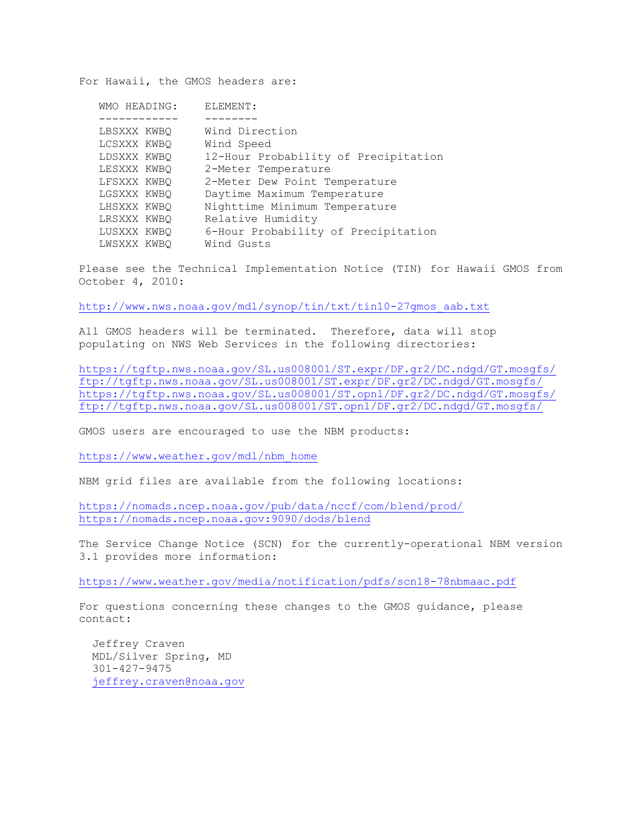For Hawaii, the GMOS headers are:

| WMO HEADING: | ELEMENT:                             |
|--------------|--------------------------------------|
|              |                                      |
| LBSXXX KWBO  | Wind Direction                       |
| LCSXXX KWBO  | Wind Speed                           |
| LDSXXX KWBO  | 12-Hour Probability of Precipitation |
| LESXXX KWBQ  | 2-Meter Temperature                  |
| LFSXXX KWBO  | 2-Meter Dew Point Temperature        |
| LGSXXX KWBO  | Daytime Maximum Temperature          |
| LHSXXX KWBO  | Nighttime Minimum Temperature        |
| LRSXXX KWBO  | Relative Humidity                    |
| LUSXXX KWBO  | 6-Hour Probability of Precipitation  |
| LWSXXX KWBO  | Wind Gusts                           |
|              |                                      |

Please see the Technical Implementation Notice (TIN) for Hawaii GMOS from October 4, 2010:

[http://www.nws.noaa.gov/mdl/synop/tin/txt/tin10-27gmos\\_aab.txt](http://www.nws.noaa.gov/mdl/synop/tin/txt/tin10-27gmos_aab.txt)

All GMOS headers will be terminated. Therefore, data will stop populating on NWS Web Services in the following directories:

<https://tgftp.nws.noaa.gov/SL.us008001/ST.expr/DF.gr2/DC.ndgd/GT.mosgfs/> <ftp://tgftp.nws.noaa.gov/SL.us008001/ST.expr/DF.gr2/DC.ndgd/GT.mosgfs/> <https://tgftp.nws.noaa.gov/SL.us008001/ST.opnl/DF.gr2/DC.ndgd/GT.mosgfs/> <ftp://tgftp.nws.noaa.gov/SL.us008001/ST.opnl/DF.gr2/DC.ndgd/GT.mosgfs/>

GMOS users are encouraged to use the NBM products:

[https://www.weather.gov/mdl/nbm\\_home](https://www.weather.gov/mdl/nbm_home)

NBM grid files are available from the following locations:

<https://nomads.ncep.noaa.gov/pub/data/nccf/com/blend/prod/> <https://nomads.ncep.noaa.gov:9090/dods/blend>

The Service Change Notice (SCN) for the currently-operational NBM version 3.1 provides more information:

<https://www.weather.gov/media/notification/pdfs/scn18-78nbmaac.pdf>

For questions concerning these changes to the GMOS guidance, please contact:

 Jeffrey Craven MDL/Silver Spring, MD 301-427-9475 [jeffrey.craven@noaa.gov](mailto:jeffrey.craven@noaa.gov)